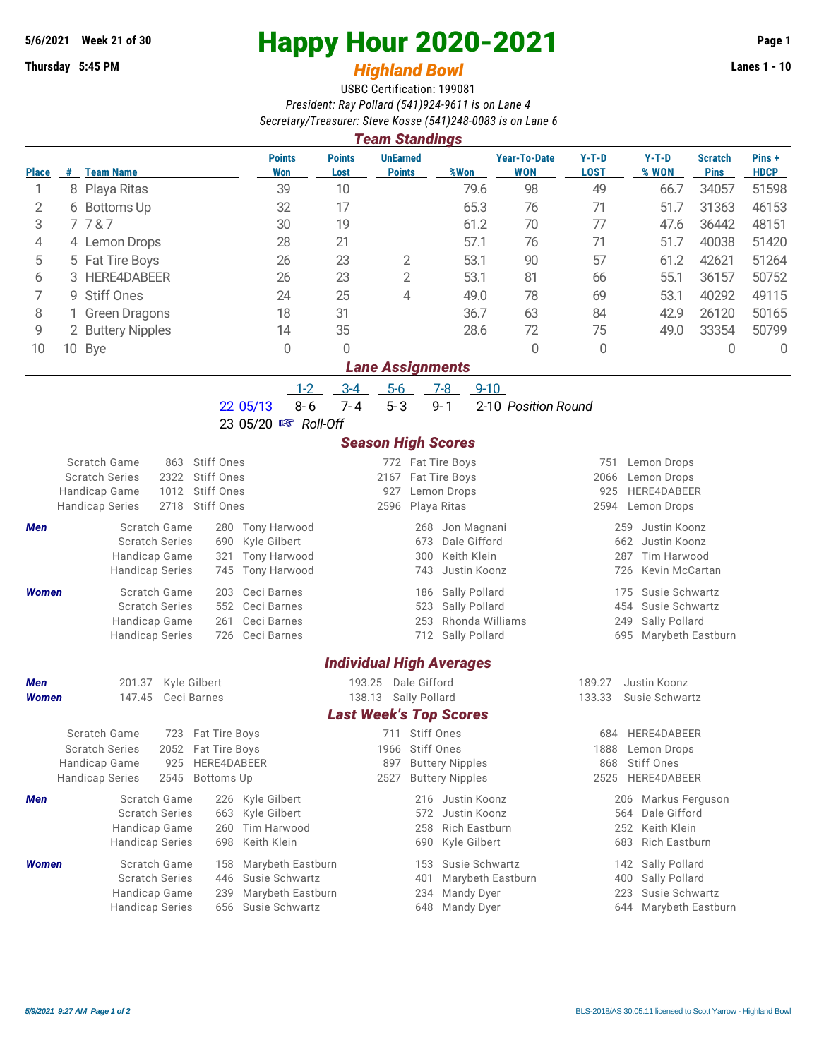## **Thursday 5:45 PM** *Highland Bowl* **Lanes 1 - 10**

## **5/6/2021 Week 21 of 30 Happy Hour 2020-2021 Page 1**

## USBC Certification: 199081 *President: Ray Pollard (541)924-9611 is on Lane 4 Secretary/Treasurer: Steve Kosse (541)248-0083 is on Lane 6*

| <b>Team Standings</b>                                                              |                           |                                                      |                                     |                                                    |                                  |                                         |                                   |                                           |                                    |                               |                      |  |  |  |
|------------------------------------------------------------------------------------|---------------------------|------------------------------------------------------|-------------------------------------|----------------------------------------------------|----------------------------------|-----------------------------------------|-----------------------------------|-------------------------------------------|------------------------------------|-------------------------------|----------------------|--|--|--|
| <b>Place</b>                                                                       |                           | # Team Name                                          | <b>Points</b><br><b>Won</b>         | <b>Points</b><br>Lost                              | <b>UnEarned</b><br><b>Points</b> | %Won                                    | <b>Year-To-Date</b><br><b>WON</b> | $Y-T-D$<br><b>LOST</b>                    | $Y-T-D$<br>% WON                   | <b>Scratch</b><br><b>Pins</b> | Pins+<br><b>HDCP</b> |  |  |  |
| 1                                                                                  |                           | 8 Playa Ritas                                        | 39                                  | 10                                                 |                                  | 79.6                                    | 98                                | 49                                        | 66.7                               | 34057                         | 51598                |  |  |  |
| 2                                                                                  |                           | 6 Bottoms Up                                         | 32                                  | 17                                                 |                                  | 65.3                                    | 76                                | 71                                        | 51.7                               | 31363                         | 46153                |  |  |  |
| 3                                                                                  |                           | 7787                                                 | 30                                  | 19                                                 |                                  | 61.2                                    | 70                                | 77                                        | 47.6                               | 36442                         | 48151                |  |  |  |
| 4                                                                                  |                           | 4 Lemon Drops                                        | 28                                  | 21                                                 |                                  | 57.1                                    | 76                                | 71                                        | 51.7                               | 40038                         | 51420                |  |  |  |
| 5                                                                                  |                           | 5 Fat Tire Boys                                      | 26                                  | 23                                                 | 2                                | 53.1                                    | 90                                | 57                                        | 61.2                               | 42621                         | 51264                |  |  |  |
| 6                                                                                  | 3                         | HERE4DABEER                                          | 26                                  | 23                                                 | $\overline{2}$                   | 53.1                                    | 81                                | 66                                        | 55.1                               | 36157                         | 50752                |  |  |  |
| 7                                                                                  | 9                         | <b>Stiff Ones</b>                                    | 24                                  | 25                                                 | 4                                | 49.0                                    | 78                                | 69                                        | 53.1                               | 40292                         | 49115                |  |  |  |
| 8                                                                                  |                           | <b>Green Dragons</b>                                 | 18                                  | 31                                                 |                                  | 36.7                                    | 63                                | 84                                        | 42.9                               | 26120                         | 50165                |  |  |  |
| 9                                                                                  |                           | 2 Buttery Nipples                                    | 14                                  | 35                                                 |                                  | 28.6                                    | 72                                | 75                                        | 49.0                               | 33354                         | 50799                |  |  |  |
| 10                                                                                 |                           | 10 Bye                                               | 0                                   | 0                                                  |                                  |                                         | $\Omega$                          | 0                                         |                                    | 0                             | $\overline{0}$       |  |  |  |
| <b>Lane Assignments</b>                                                            |                           |                                                      |                                     |                                                    |                                  |                                         |                                   |                                           |                                    |                               |                      |  |  |  |
| $3-4$<br>$5-6$<br>$1 - 2$<br>$7 - 8$<br>$9 - 10$                                   |                           |                                                      |                                     |                                                    |                                  |                                         |                                   |                                           |                                    |                               |                      |  |  |  |
|                                                                                    |                           |                                                      | $8 - 6$<br>22 05/13                 | $7 - 4$                                            | $5 - 3$                          | $9 - 1$                                 | 2-10 Position Round               |                                           |                                    |                               |                      |  |  |  |
|                                                                                    | 23 05/20 B Roll-Off       |                                                      |                                     |                                                    |                                  |                                         |                                   |                                           |                                    |                               |                      |  |  |  |
|                                                                                    | <b>Season High Scores</b> |                                                      |                                     |                                                    |                                  |                                         |                                   |                                           |                                    |                               |                      |  |  |  |
|                                                                                    |                           | <b>Scratch Game</b><br><b>Stiff Ones</b><br>863      |                                     |                                                    | 772 Fat Tire Boys                |                                         |                                   | 751                                       | Lemon Drops                        |                               |                      |  |  |  |
|                                                                                    |                           | 2322<br>Stiff Ones<br><b>Scratch Series</b>          |                                     |                                                    | 2167 Fat Tire Boys               |                                         |                                   | 2066                                      | Lemon Drops                        |                               |                      |  |  |  |
| Handicap Game                                                                      |                           | Stiff Ones<br>1012                                   |                                     |                                                    | 927                              | Lemon Drops                             |                                   | 925                                       | HERE4DABEER                        |                               |                      |  |  |  |
| 2718<br><b>Stiff Ones</b><br>Playa Ritas<br><b>Handicap Series</b><br>2596<br>2594 |                           |                                                      |                                     |                                                    |                                  |                                         |                                   |                                           | Lemon Drops                        |                               |                      |  |  |  |
| Men                                                                                |                           | Scratch Game<br>280                                  | <b>Tony Harwood</b>                 |                                                    | Jon Magnani<br>268               |                                         |                                   | 259<br>Justin Koonz                       |                                    |                               |                      |  |  |  |
|                                                                                    |                           | <b>Scratch Series</b><br>690<br>Handicap Game<br>321 | Kyle Gilbert<br><b>Tony Harwood</b> |                                                    | 673<br>300                       | Dale Gifford<br>Keith Klein             |                                   | 662<br>287                                | Justin Koonz<br><b>Tim Harwood</b> |                               |                      |  |  |  |
|                                                                                    |                           | <b>Handicap Series</b><br>745                        | <b>Tony Harwood</b>                 |                                                    | 743<br>Justin Koonz              |                                         |                                   | 726<br>Kevin McCartan                     |                                    |                               |                      |  |  |  |
| Women                                                                              |                           | Scratch Game<br>203                                  | Ceci Barnes                         |                                                    | 186                              | Sally Pollard                           |                                   | 175                                       | Susie Schwartz                     |                               |                      |  |  |  |
|                                                                                    |                           | <b>Scratch Series</b><br>552                         | Ceci Barnes                         |                                                    | 523                              | Sally Pollard                           |                                   | 454                                       | Susie Schwartz                     |                               |                      |  |  |  |
|                                                                                    |                           | Handicap Game<br>261                                 | Ceci Barnes                         |                                                    | 253                              | Rhonda Williams                         |                                   | 249                                       | Sally Pollard                      |                               |                      |  |  |  |
| <b>Handicap Series</b><br>Ceci Barnes<br>726                                       |                           |                                                      |                                     |                                                    | 712                              | Sally Pollard                           |                                   | Marybeth Eastburn<br>695                  |                                    |                               |                      |  |  |  |
|                                                                                    |                           |                                                      |                                     |                                                    | <b>Individual High Averages</b>  |                                         |                                   |                                           |                                    |                               |                      |  |  |  |
| <b>Men</b>                                                                         |                           | Kyle Gilbert<br>201.37                               |                                     | 193.25                                             | Dale Gifford                     |                                         |                                   | 189.27                                    | Justin Koonz                       |                               |                      |  |  |  |
| Women                                                                              |                           | 147.45<br>Ceci Barnes                                |                                     | 138.13                                             | Sally Pollard                    |                                         |                                   | 133.33                                    | Susie Schwartz                     |                               |                      |  |  |  |
|                                                                                    |                           |                                                      |                                     |                                                    | <b>Last Week's Top Scores</b>    |                                         |                                   |                                           |                                    |                               |                      |  |  |  |
|                                                                                    |                           | Scratch Game<br>723<br>Fat Tire Boys                 |                                     |                                                    | 711<br>Stiff Ones                |                                         |                                   | 684                                       | HERE4DABEER                        |                               |                      |  |  |  |
|                                                                                    |                           | <b>Scratch Series</b><br>Fat Tire Boys<br>2052       |                                     |                                                    | <b>Stiff Ones</b><br>1966        |                                         |                                   | 1888                                      | Lemon Drops                        |                               |                      |  |  |  |
| HERE4DABEER<br>Handicap Game<br>925                                                |                           |                                                      | 897<br><b>Buttery Nipples</b>       |                                                    |                                  |                                         | <b>Stiff Ones</b><br>868          |                                           |                                    |                               |                      |  |  |  |
|                                                                                    |                           | <b>Handicap Series</b><br>2545<br><b>Bottoms Up</b>  |                                     |                                                    | 2527                             | <b>Buttery Nipples</b>                  |                                   | 2525                                      | HERE4DABEER                        |                               |                      |  |  |  |
| Men                                                                                |                           | Scratch Game                                         | 226 Kyle Gilbert                    |                                                    |                                  | 216 Justin Koonz                        |                                   |                                           | 206 Markus Ferguson                |                               |                      |  |  |  |
|                                                                                    |                           | <b>Scratch Series</b><br>663<br>Handicap Game<br>260 | Kyle Gilbert<br>Tim Harwood         | Justin Koonz<br>572<br>258<br><b>Rich Eastburn</b> |                                  |                                         |                                   | Dale Gifford<br>564<br>Keith Klein<br>252 |                                    |                               |                      |  |  |  |
|                                                                                    |                           | <b>Handicap Series</b><br>698                        | Keith Klein                         |                                                    | 690                              | Kyle Gilbert                            |                                   | 683                                       | <b>Rich Eastburn</b>               |                               |                      |  |  |  |
| Women                                                                              |                           | Scratch Game<br>158                                  | Marybeth Eastburn                   |                                                    | 153                              | Susie Schwartz                          |                                   | 142                                       | Sally Pollard                      |                               |                      |  |  |  |
|                                                                                    |                           | <b>Scratch Series</b><br>446                         | Susie Schwartz                      |                                                    | 401                              | Marybeth Eastburn                       |                                   | 400                                       | Sally Pollard                      |                               |                      |  |  |  |
|                                                                                    |                           | Handicap Game<br>239                                 | Marybeth Eastburn                   |                                                    | 234                              | Mandy Dyer                              |                                   | 223                                       | Susie Schwartz                     |                               |                      |  |  |  |
|                                                                                    |                           | <b>Handicap Series</b><br>656                        | Susie Schwartz                      |                                                    |                                  | 644 Marybeth Eastburn<br>648 Mandy Dyer |                                   |                                           |                                    |                               |                      |  |  |  |